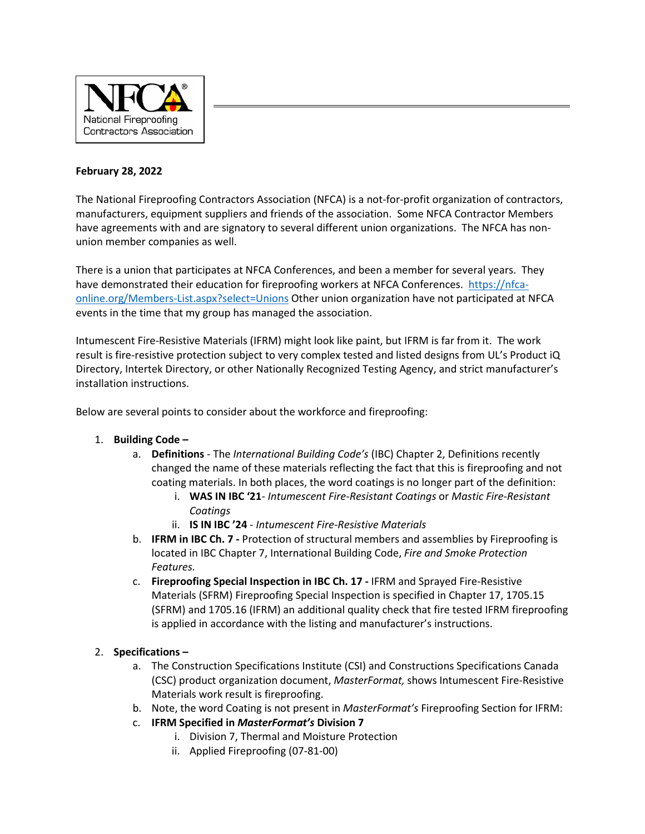

## **February 28, 2022**

The National Fireproofing Contractors Association (NFCA) is a not-for-profit organization of contractors, manufacturers, equipment suppliers and friends of the association. Some NFCA Contractor Members have agreements with and are signatory to several different union organizations. The NFCA has nonunion member companies as well.

There is a union that participates at NFCA Conferences, and been a member for several years. They have demonstrated their education for fireproofing workers at NFCA Conferences. [https://nfca](https://nfca-online.org/Members-List.aspx?select=Unions)[online.org/Members-List.aspx?select=Unions](https://nfca-online.org/Members-List.aspx?select=Unions) Other union organization have not participated at NFCA events in the time that my group has managed the association.

Intumescent Fire-Resistive Materials (IFRM) might look like paint, but IFRM is far from it. The work result is fire-resistive protection subject to very complex tested and listed designs from UL's Product iQ Directory, Intertek Directory, or other Nationally Recognized Testing Agency, and strict manufacturer's installation instructions.

Below are several points to consider about the workforce and fireproofing:

## 1. **Building Code –**

- a. **Definitions**  The *International Building Code's* (IBC) Chapter 2, Definitions recently changed the name of these materials reflecting the fact that this is fireproofing and not coating materials. In both places, the word coatings is no longer part of the definition:
	- i. **WAS IN IBC '21** *Intumescent Fire-Resistant Coatings* or *Mastic Fire-Resistant Coatings*
	- ii. **IS IN IBC '24** *Intumescent Fire-Resistive Materials*
- b. **IFRM in IBC Ch. 7 -** Protection of structural members and assemblies by Fireproofing is located in IBC Chapter 7, International Building Code, *Fire and Smoke Protection Features.*
- c. **Fireproofing Special Inspection in IBC Ch. 17 -** IFRM and Sprayed Fire-Resistive Materials (SFRM) Fireproofing Special Inspection is specified in Chapter 17, 1705.15 (SFRM) and 1705.16 (IFRM) an additional quality check that fire tested IFRM fireproofing is applied in accordance with the listing and manufacturer's instructions.

## 2. **Specifications –**

- a. The Construction Specifications Institute (CSI) and Constructions Specifications Canada (CSC) product organization document, *MasterFormat,* shows Intumescent Fire-Resistive Materials work result is fireproofing.
- b. Note, the word Coating is not present in *MasterFormat's* Fireproofing Section for IFRM:
- c. **IFRM Specified in** *MasterFormat's* **Division 7**
	- i. Division 7, Thermal and Moisture Protection
	- ii. Applied Fireproofing (07-81-00)